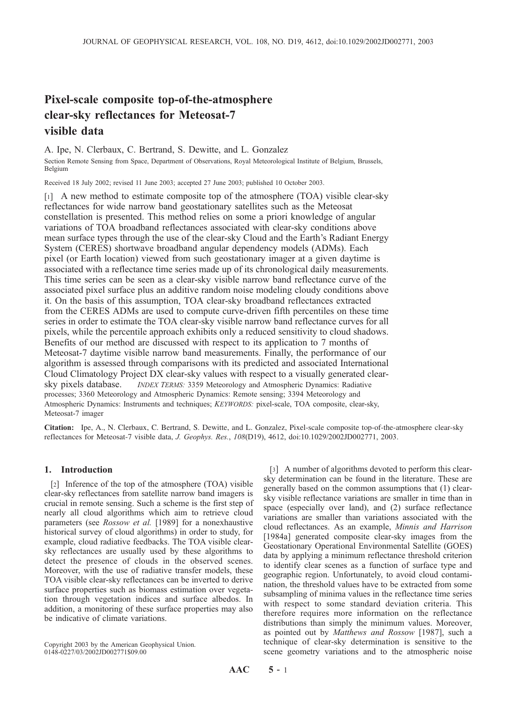# Pixel-scale composite top-of-the-atmosphere clear-sky reflectances for Meteosat-7 visible data

A. Ipe, N. Clerbaux, C. Bertrand, S. Dewitte, and L. Gonzalez

Section Remote Sensing from Space, Department of Observations, Royal Meteorological Institute of Belgium, Brussels, Belgium

Received 18 July 2002; revised 11 June 2003; accepted 27 June 2003; published 10 October 2003.

[1] A new method to estimate composite top of the atmosphere (TOA) visible clear-sky reflectances for wide narrow band geostationary satellites such as the Meteosat constellation is presented. This method relies on some a priori knowledge of angular variations of TOA broadband reflectances associated with clear-sky conditions above mean surface types through the use of the clear-sky Cloud and the Earth's Radiant Energy System (CERES) shortwave broadband angular dependency models (ADMs). Each pixel (or Earth location) viewed from such geostationary imager at a given daytime is associated with a reflectance time series made up of its chronological daily measurements. This time series can be seen as a clear-sky visible narrow band reflectance curve of the associated pixel surface plus an additive random noise modeling cloudy conditions above it. On the basis of this assumption, TOA clear-sky broadband reflectances extracted from the CERES ADMs are used to compute curve-driven fifth percentiles on these time series in order to estimate the TOA clear-sky visible narrow band reflectance curves for all pixels, while the percentile approach exhibits only a reduced sensitivity to cloud shadows. Benefits of our method are discussed with respect to its application to 7 months of Meteosat-7 daytime visible narrow band measurements. Finally, the performance of our algorithm is assessed through comparisons with its predicted and associated International Cloud Climatology Project DX clear-sky values with respect to a visually generated clearsky pixels database. *INDEX TERMS:* 3359 Meteorology and Atmospheric Dynamics: Radiative processes; 3360 Meteorology and Atmospheric Dynamics: Remote sensing; 3394 Meteorology and Atmospheric Dynamics: Instruments and techniques; KEYWORDS: pixel-scale, TOA composite, clear-sky, Meteosat-7 imager

Citation: Ipe, A., N. Clerbaux, C. Bertrand, S. Dewitte, and L. Gonzalez, Pixel-scale composite top-of-the-atmosphere clear-sky reflectances for Meteosat-7 visible data, J. Geophys. Res., 108(D19), 4612, doi:10.1029/2002JD002771, 2003.

## 1. Introduction

[2] Inference of the top of the atmosphere (TOA) visible clear-sky reflectances from satellite narrow band imagers is crucial in remote sensing. Such a scheme is the first step of nearly all cloud algorithms which aim to retrieve cloud parameters (see *Rossow et al.* [1989] for a nonexhaustive historical survey of cloud algorithms) in order to study, for example, cloud radiative feedbacks. The TOA visible clearsky reflectances are usually used by these algorithms to detect the presence of clouds in the observed scenes. Moreover, with the use of radiative transfer models, these TOA visible clear-sky reflectances can be inverted to derive surface properties such as biomass estimation over vegetation through vegetation indices and surface albedos. In addition, a monitoring of these surface properties may also be indicative of climate variations.

Copyright 2003 by the American Geophysical Union. 0148-0227/03/2002JD002771\$09.00

[3] A number of algorithms devoted to perform this clearsky determination can be found in the literature. These are generally based on the common assumptions that (1) clearsky visible reflectance variations are smaller in time than in space (especially over land), and (2) surface reflectance variations are smaller than variations associated with the cloud reflectances. As an example, Minnis and Harrison [1984a] generated composite clear-sky images from the Geostationary Operational Environmental Satellite (GOES) data by applying a minimum reflectance threshold criterion to identify clear scenes as a function of surface type and geographic region. Unfortunately, to avoid cloud contamination, the threshold values have to be extracted from some subsampling of minima values in the reflectance time series with respect to some standard deviation criteria. This therefore requires more information on the reflectance distributions than simply the minimum values. Moreover, as pointed out by Matthews and Rossow [1987], such a technique of clear-sky determination is sensitive to the scene geometry variations and to the atmospheric noise

 $\bf{AAC}$  5 - 1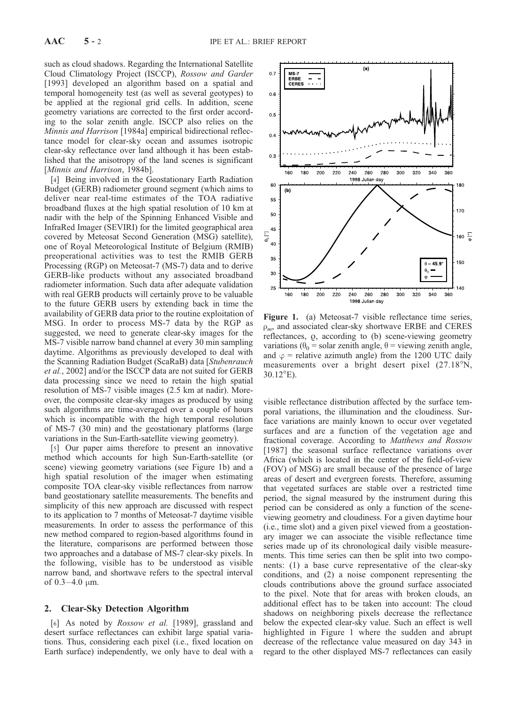such as cloud shadows. Regarding the International Satellite Cloud Climatology Project (ISCCP), Rossow and Garder [1993] developed an algorithm based on a spatial and temporal homogeneity test (as well as several geotypes) to be applied at the regional grid cells. In addition, scene geometry variations are corrected to the first order according to the solar zenith angle. ISCCP also relies on the Minnis and Harrison [1984a] empirical bidirectional reflectance model for clear-sky ocean and assumes isotropic clear-sky reflectance over land although it has been established that the anisotropy of the land scenes is significant [Minnis and Harrison, 1984b].

[4] Being involved in the Geostationary Earth Radiation Budget (GERB) radiometer ground segment (which aims to deliver near real-time estimates of the TOA radiative broadband fluxes at the high spatial resolution of 10 km at nadir with the help of the Spinning Enhanced Visible and InfraRed Imager (SEVIRI) for the limited geographical area covered by Meteosat Second Generation (MSG) satellite), one of Royal Meteorological Institute of Belgium (RMIB) preoperational activities was to test the RMIB GERB Processing (RGP) on Meteosat-7 (MS-7) data and to derive GERB-like products without any associated broadband radiometer information. Such data after adequate validation with real GERB products will certainly prove to be valuable to the future GERB users by extending back in time the availability of GERB data prior to the routine exploitation of MSG. In order to process MS-7 data by the RGP as suggested, we need to generate clear-sky images for the MS-7 visible narrow band channel at every 30 min sampling daytime. Algorithms as previously developed to deal with the Scanning Radiation Budget (ScaRaB) data [Stubenrauch et al., 2002] and/or the ISCCP data are not suited for GERB data processing since we need to retain the high spatial resolution of MS-7 visible images (2.5 km at nadir). Moreover, the composite clear-sky images as produced by using such algorithms are time-averaged over a couple of hours which is incompatible with the high temporal resolution of MS-7 (30 min) and the geostationary platforms (large variations in the Sun-Earth-satellite viewing geometry).

[5] Our paper aims therefore to present an innovative method which accounts for high Sun-Earth-satellite (or scene) viewing geometry variations (see Figure 1b) and a high spatial resolution of the imager when estimating composite TOA clear-sky visible reflectances from narrow band geostationary satellite measurements. The benefits and simplicity of this new approach are discussed with respect to its application to 7 months of Meteosat-7 daytime visible measurements. In order to assess the performance of this new method compared to region-based algorithms found in the literature, comparisons are performed between those two approaches and a database of MS-7 clear-sky pixels. In the following, visible has to be understood as visible narrow band, and shortwave refers to the spectral interval of  $0.3 - 4.0 \mu m$ .

#### 2. Clear-Sky Detection Algorithm

[6] As noted by Rossow et al. [1989], grassland and desert surface reflectances can exhibit large spatial variations. Thus, considering each pixel (i.e., fixed location on Earth surface) independently, we only have to deal with a



Figure 1. (a) Meteosat-7 visible reflectance time series,  $\rho_m$ , and associated clear-sky shortwave ERBE and CERES reflectances,  $\varrho$ , according to (b) scene-viewing geometry variations ( $\theta_0$  = solar zenith angle,  $\theta$  = viewing zenith angle, and  $\varphi$  = relative azimuth angle) from the 1200 UTC daily measurements over a bright desert pixel  $(27.18^{\circ}N,$  $30.12^{\circ}$ E).

visible reflectance distribution affected by the surface temporal variations, the illumination and the cloudiness. Surface variations are mainly known to occur over vegetated surfaces and are a function of the vegetation age and fractional coverage. According to Matthews and Rossow [1987] the seasonal surface reflectance variations over Africa (which is located in the center of the field-of-view (FOV) of MSG) are small because of the presence of large areas of desert and evergreen forests. Therefore, assuming that vegetated surfaces are stable over a restricted time period, the signal measured by the instrument during this period can be considered as only a function of the sceneviewing geometry and cloudiness. For a given daytime hour (i.e., time slot) and a given pixel viewed from a geostationary imager we can associate the visible reflectance time series made up of its chronological daily visible measurements. This time series can then be split into two components: (1) a base curve representative of the clear-sky conditions, and (2) a noise component representing the clouds contributions above the ground surface associated to the pixel. Note that for areas with broken clouds, an additional effect has to be taken into account: The cloud shadows on neighboring pixels decrease the reflectance below the expected clear-sky value. Such an effect is well highlighted in Figure 1 where the sudden and abrupt decrease of the reflectance value measured on day 343 in regard to the other displayed MS-7 reflectances can easily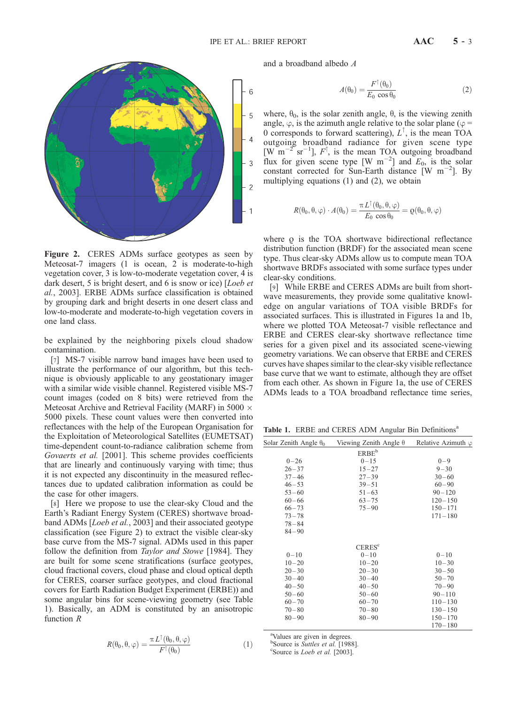

Figure 2. CERES ADMs surface geotypes as seen by Meteosat-7 imagers (1 is ocean, 2 is moderate-to-high vegetation cover, 3 is low-to-moderate vegetation cover, 4 is dark desert, 5 is bright desert, and 6 is snow or ice) [*Loeb et* al., 2003]. ERBE ADMs surface classification is obtained by grouping dark and bright deserts in one desert class and low-to-moderate and moderate-to-high vegetation covers in one land class.

be explained by the neighboring pixels cloud shadow contamination.

[7] MS-7 visible narrow band images have been used to illustrate the performance of our algorithm, but this technique is obviously applicable to any geostationary imager with a similar wide visible channel. Registered visible MS-7 count images (coded on 8 bits) were retrieved from the Meteosat Archive and Retrieval Facility (MARF) in 5000  $\times$ 5000 pixels. These count values were then converted into reflectances with the help of the European Organisation for the Exploitation of Meteorological Satellites (EUMETSAT) time-dependent count-to-radiance calibration scheme from Govaerts et al. [2001]. This scheme provides coefficients that are linearly and continuously varying with time; thus it is not expected any discontinuity in the measured reflectances due to updated calibration information as could be the case for other imagers.

[8] Here we propose to use the clear-sky Cloud and the Earth's Radiant Energy System (CERES) shortwave broadband ADMs [*Loeb et al.*, 2003] and their associated geotype classification (see Figure 2) to extract the visible clear-sky base curve from the MS-7 signal. ADMs used in this paper follow the definition from *Taylor and Stowe* [1984]. They are built for some scene stratifications (surface geotypes, cloud fractional covers, cloud phase and cloud optical depth for CERES, coarser surface geotypes, and cloud fractional covers for Earth Radiation Budget Experiment (ERBE)) and some angular bins for scene-viewing geometry (see Table 1). Basically, an ADM is constituted by an anisotropic function R

$$
R(\theta_0, \theta, \varphi) = \frac{\pi L^{\uparrow}(\theta_0, \theta, \varphi)}{F^{\uparrow}(\theta_0)}
$$
(1)

and a broadband albedo A

$$
A(\theta_0) = \frac{F^{\dagger}(\theta_0)}{E_0 \cos \theta_0} \tag{2}
$$

where,  $\theta_0$ , is the solar zenith angle,  $\theta$ , is the viewing zenith angle,  $\varphi$ , is the azimuth angle relative to the solar plane ( $\varphi$  = 0 corresponds to forward scattering),  $L^{\uparrow}$ , is the mean TOA outgoing broadband radiance for given scene type [W  $m^{-2}$  sr<sup>-1</sup>],  $F^{\dagger}$ , is the mean TOA outgoing broadband flux for given scene type [W m<sup>-2</sup>] and  $E_0$ , is the solar constant corrected for Sun-Earth distance [W  $m^{-2}$ ]. By multiplying equations (1) and (2), we obtain

$$
R(\theta_0, \theta, \varphi) \cdot A(\theta_0) = \frac{\pi L^{\uparrow}(\theta_0, \theta, \varphi)}{E_0 \cos \theta_0} = \varrho(\theta_0, \theta, \varphi)
$$

where  $\rho$  is the TOA shortwave bidirectional reflectance distribution function (BRDF) for the associated mean scene type. Thus clear-sky ADMs allow us to compute mean TOA shortwave BRDFs associated with some surface types under clear-sky conditions.

[9] While ERBE and CERES ADMs are built from shortwave measurements, they provide some qualitative knowledge on angular variations of TOA visible BRDFs for associated surfaces. This is illustrated in Figures 1a and 1b, where we plotted TOA Meteosat-7 visible reflectance and ERBE and CERES clear-sky shortwave reflectance time series for a given pixel and its associated scene-viewing geometry variations. We can observe that ERBE and CERES curves have shapes similar to the clear-sky visible reflectance base curve that we want to estimate, although they are offset from each other. As shown in Figure 1a, the use of CERES ADMs leads to a TOA broadband reflectance time series,

Table 1. ERBE and CERES ADM Angular Bin Definitions<sup>a</sup>

| Solar Zenith Angle $\theta_0$ | Viewing Zenith Angle $\theta$ | Relative Azimuth $\varphi$ |  |
|-------------------------------|-------------------------------|----------------------------|--|
|                               | ERBE <sup>b</sup>             |                            |  |
| $0 - 26$                      | $0 - 15$                      | $0 - 9$                    |  |
| $26 - 37$                     | $15 - 27$                     | $9 - 30$                   |  |
| $37 - 46$                     | $27 - 39$                     | $30 - 60$                  |  |
| $46 - 53$                     | $39 - 51$                     | $60 - 90$                  |  |
| $53 - 60$                     | $51 - 63$                     | $90 - 120$                 |  |
| $60 - 66$                     | $63 - 75$                     | $120 - 150$                |  |
| $66 - 73$                     | $75 - 90$                     | $150 - 171$                |  |
| $73 - 78$                     |                               | $171 - 180$                |  |
| $78 - 84$                     |                               |                            |  |
| $84 - 90$                     |                               |                            |  |
|                               | <b>CERES<sup>c</sup></b>      |                            |  |
| $0 - 10$                      | $0 - 10$                      | $0 - 10$                   |  |
| $10 - 20$                     | $10 - 20$                     | $10 - 30$                  |  |
| $20 - 30$                     | $20 - 30$                     | $30 - 50$                  |  |
| $30 - 40$                     | $30 - 40$                     | $50 - 70$                  |  |
| $40 - 50$                     | $40 - 50$                     | $70 - 90$                  |  |
| $50 - 60$                     | $50 - 60$                     | $90 - 110$                 |  |
| $60 - 70$                     | $60 - 70$                     | $110 - 130$                |  |
| $70 - 80$                     | $70 - 80$                     | $130 - 150$                |  |
| $80 - 90$                     | $80 - 90$                     | $150 - 170$                |  |
|                               |                               | $170 - 180$                |  |

<sup>a</sup>Values are given in degrees.

bSource is Suttles et al. [1988].

<sup>c</sup>Source is *Loeb et al.* [2003].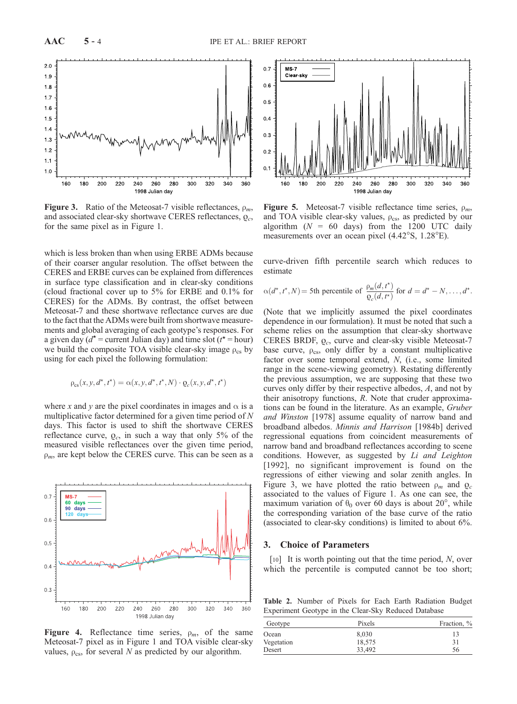

**Figure 3.** Ratio of the Meteosat-7 visible reflectances,  $\rho_m$ , and associated clear-sky shortwave CERES reflectances,  $Q_c$ , for the same pixel as in Figure 1.

which is less broken than when using ERBE ADMs because of their coarser angular resolution. The offset between the CERES and ERBE curves can be explained from differences in surface type classification and in clear-sky conditions (cloud fractional cover up to 5% for ERBE and 0.1% for CERES) for the ADMs. By contrast, the offset between Meteosat-7 and these shortwave reflectance curves are due to the fact that the ADMs were built from shortwave measurements and global averaging of each geotype's responses. For a given day ( $d^*$  = current Julian day) and time slot ( $t^*$  = hour) we build the composite TOA visible clear-sky image  $\rho_{cs}$  by using for each pixel the following formulation:

$$
\rho_{\text{cs}}(x, y, d^\star, t^\star) = \alpha(x, y, d^\star, t^\star, N) \cdot \varrho_c(x, y, d^\star, t^\star)
$$

where x and y are the pixel coordinates in images and  $\alpha$  is a multiplicative factor determined for a given time period of  $N$ days. This factor is used to shift the shortwave CERES reflectance curve,  $Q_c$ , in such a way that only 5% of the measured visible reflectances over the given time period,  $\rho_m$ , are kept below the CERES curve. This can be seen as a



**Figure 4.** Reflectance time series,  $\rho_m$ , of the same Meteosat-7 pixel as in Figure 1 and TOA visible clear-sky values,  $\rho_{\text{cs}}$ , for several N as predicted by our algorithm.



**Figure 5.** Meteosat-7 visible reflectance time series,  $\rho_m$ , and TOA visible clear-sky values,  $\rho_{\rm cs}$ , as predicted by our algorithm  $(N = 60$  days) from the 1200 UTC daily measurements over an ocean pixel  $(4.42^{\circ}S, 1.28^{\circ}E)$ .

curve-driven fifth percentile search which reduces to estimate

$$
\alpha(d^*, t^*, N) = 5\text{th percentile of } \frac{\rho_m(d, t^*)}{\rho_c(d, t^*)} \text{ for } d = d^* - N, \dots, d^*.
$$

(Note that we implicitly assumed the pixel coordinates dependence in our formulation). It must be noted that such a scheme relies on the assumption that clear-sky shortwave CERES BRDF,  $Q_c$ , curve and clear-sky visible Meteosat-7 base curve,  $\rho_{\text{cs}}$ , only differ by a constant multiplicative factor over some temporal extend, N, (i.e., some limited range in the scene-viewing geometry). Restating differently the previous assumption, we are supposing that these two curves only differ by their respective albedos, A, and not by their anisotropy functions, R. Note that cruder approximations can be found in the literature. As an example, Gruber and Winston [1978] assume equality of narrow band and broadband albedos. Minnis and Harrison [1984b] derived regressional equations from coincident measurements of narrow band and broadband reflectances according to scene conditions. However, as suggested by Li and Leighton [1992], no significant improvement is found on the regressions of either viewing and solar zenith angles. In Figure 3, we have plotted the ratio between  $\rho_m$  and  $\varrho_c$ associated to the values of Figure 1. As one can see, the maximum variation of  $\theta_0$  over 60 days is about 20°, while the corresponding variation of the base curve of the ratio (associated to clear-sky conditions) is limited to about 6%.

#### 3. Choice of Parameters

[10] It is worth pointing out that the time period,  $N$ , over which the percentile is computed cannot be too short;

Table 2. Number of Pixels for Each Earth Radiation Budget Experiment Geotype in the Clear-Sky Reduced Database

| Geotype    | Pixels | Fraction, % |
|------------|--------|-------------|
| Ocean      | 8,030  | 13          |
| Vegetation | 18,575 | 31          |
| Desert     | 33.492 | 56          |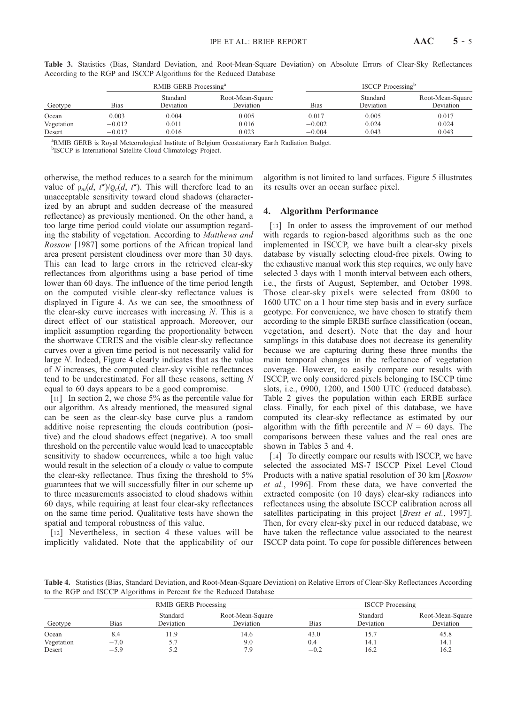| Geotype    | RMIB GERB Processing <sup>a</sup> |                              |                                      | <b>ISCCP</b> Processing <sup>o</sup> |                       |                               |
|------------|-----------------------------------|------------------------------|--------------------------------------|--------------------------------------|-----------------------|-------------------------------|
|            | <b>Bias</b>                       | Standard<br><b>Deviation</b> | Root-Mean-Square<br><b>Deviation</b> | Bias                                 | Standard<br>Deviation | Root-Mean-Square<br>Deviation |
| Ocean      | 0.003                             | 0.004                        | 0.005                                | 0.017                                | 0.005                 | 0.017                         |
| Vegetation | $-0.012$                          | 0.011                        | 0.016                                | $-0.002$                             | 0.024                 | 0.024                         |
| Desert     | $-0.017$                          | 0.016                        | 0.023                                | $-0.004$                             | 0.043                 | 0.043                         |

Table 3. Statistics (Bias, Standard Deviation, and Root-Mean-Square Deviation) on Absolute Errors of Clear-Sky Reflectances According to the RGP and ISCCP Algorithms for the Reduced Database

<sup>a</sup>RMIB GERB is Royal Meteorological Institute of Belgium Geostationary Earth Radiation Budget.

**bISCCP** is International Satellite Cloud Climatology Project.

otherwise, the method reduces to a search for the minimum value of  $\rho_m(d, t^*)/Q_c(d, t^*)$ . This will therefore lead to an unacceptable sensitivity toward cloud shadows (characterized by an abrupt and sudden decrease of the measured reflectance) as previously mentioned. On the other hand, a too large time period could violate our assumption regarding the stability of vegetation. According to Matthews and Rossow [1987] some portions of the African tropical land area present persistent cloudiness over more than 30 days. This can lead to large errors in the retrieved clear-sky reflectances from algorithms using a base period of time lower than 60 days. The influence of the time period length on the computed visible clear-sky reflectance values is displayed in Figure 4. As we can see, the smoothness of the clear-sky curve increases with increasing N. This is a direct effect of our statistical approach. Moreover, our implicit assumption regarding the proportionality between the shortwave CERES and the visible clear-sky reflectance curves over a given time period is not necessarily valid for large N. Indeed, Figure 4 clearly indicates that as the value of N increases, the computed clear-sky visible reflectances tend to be underestimated. For all these reasons, setting N equal to 60 days appears to be a good compromise.

[11] In section 2, we chose 5% as the percentile value for our algorithm. As already mentioned, the measured signal can be seen as the clear-sky base curve plus a random additive noise representing the clouds contribution (positive) and the cloud shadows effect (negative). A too small threshold on the percentile value would lead to unacceptable sensitivity to shadow occurrences, while a too high value would result in the selection of a cloudy  $\alpha$  value to compute the clear-sky reflectance. Thus fixing the threshold to 5% guarantees that we will successfully filter in our scheme up to three measurements associated to cloud shadows within 60 days, while requiring at least four clear-sky reflectances on the same time period. Qualitative tests have shown the spatial and temporal robustness of this value.

[12] Nevertheless, in section 4 these values will be implicitly validated. Note that the applicability of our algorithm is not limited to land surfaces. Figure 5 illustrates its results over an ocean surface pixel.

### 4. Algorithm Performance

[13] In order to assess the improvement of our method with regards to region-based algorithms such as the one implemented in ISCCP, we have built a clear-sky pixels database by visually selecting cloud-free pixels. Owing to the exhaustive manual work this step requires, we only have selected 3 days with 1 month interval between each others, i.e., the firsts of August, September, and October 1998. Those clear-sky pixels were selected from 0800 to 1600 UTC on a 1 hour time step basis and in every surface geotype. For convenience, we have chosen to stratify them according to the simple ERBE surface classification (ocean, vegetation, and desert). Note that the day and hour samplings in this database does not decrease its generality because we are capturing during these three months the main temporal changes in the reflectance of vegetation coverage. However, to easily compare our results with ISCCP, we only considered pixels belonging to ISCCP time slots, i.e., 0900, 1200, and 1500 UTC (reduced database). Table 2 gives the population within each ERBE surface class. Finally, for each pixel of this database, we have computed its clear-sky reflectance as estimated by our algorithm with the fifth percentile and  $N = 60$  days. The comparisons between these values and the real ones are shown in Tables 3 and 4.

[14] To directly compare our results with ISCCP, we have selected the associated MS-7 ISCCP Pixel Level Cloud Products with a native spatial resolution of 30 km [Rossow et al., 1996]. From these data, we have converted the extracted composite (on 10 days) clear-sky radiances into reflectances using the absolute ISCCP calibration across all satellites participating in this project *[Brest et al., 1997]*. Then, for every clear-sky pixel in our reduced database, we have taken the reflectance value associated to the nearest ISCCP data point. To cope for possible differences between

Table 4. Statistics (Bias, Standard Deviation, and Root-Mean-Square Deviation) on Relative Errors of Clear-Sky Reflectances According to the RGP and ISCCP Algorithms in Percent for the Reduced Database

|            | RMIB GERB Processing |                       |                               | <b>ISCCP</b> Processing |                       |                               |
|------------|----------------------|-----------------------|-------------------------------|-------------------------|-----------------------|-------------------------------|
| Geotype    | Bias                 | Standard<br>Deviation | Root-Mean-Square<br>Deviation | <b>Bias</b>             | Standard<br>Deviation | Root-Mean-Square<br>Deviation |
| Ocean      | 8.4                  | 11.9                  | 14.6                          | 43.0                    | 15.7                  | 45.8                          |
| Vegetation | $-7.0$               | 5.7                   | 9.0                           | 0.4                     | 14.1                  | 14.1                          |
| Desert     | $-5.9$               | 5.2                   | 7.9                           | $-0.2$                  | 16.2                  | 16.2                          |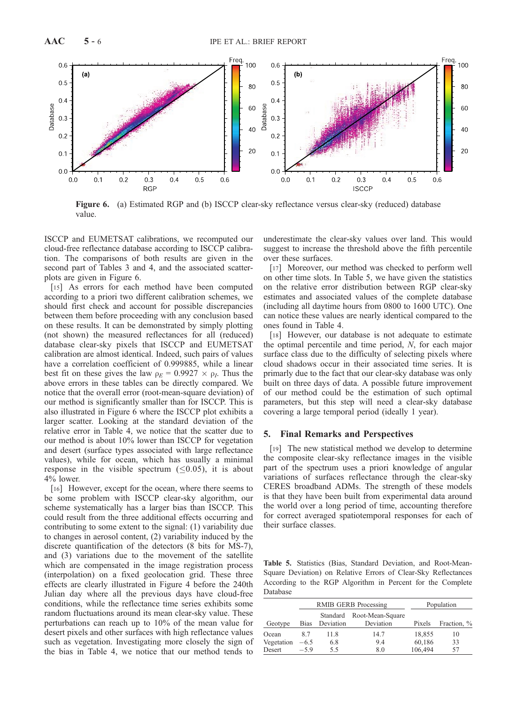

Figure 6. (a) Estimated RGP and (b) ISCCP clear-sky reflectance versus clear-sky (reduced) database value.

ISCCP and EUMETSAT calibrations, we recomputed our cloud-free reflectance database according to ISCCP calibration. The comparisons of both results are given in the second part of Tables 3 and 4, and the associated scatterplots are given in Figure 6.

[15] As errors for each method have been computed according to a priori two different calibration schemes, we should first check and account for possible discrepancies between them before proceeding with any conclusion based on these results. It can be demonstrated by simply plotting (not shown) the measured reflectances for all (reduced) database clear-sky pixels that ISCCP and EUMETSAT calibration are almost identical. Indeed, such pairs of values have a correlation coefficient of 0.999885, while a linear best fit on these gives the law  $\rho_E = 0.9927 \times \rho_I$ . Thus the above errors in these tables can be directly compared. We notice that the overall error (root-mean-square deviation) of our method is significantly smaller than for ISCCP. This is also illustrated in Figure 6 where the ISCCP plot exhibits a larger scatter. Looking at the standard deviation of the relative error in Table 4, we notice that the scatter due to our method is about 10% lower than ISCCP for vegetation and desert (surface types associated with large reflectance values), while for ocean, which has usually a minimal response in the visible spectrum  $(\leq 0.05)$ , it is about 4% lower.

[16] However, except for the ocean, where there seems to be some problem with ISCCP clear-sky algorithm, our scheme systematically has a larger bias than ISCCP. This could result from the three additional effects occurring and contributing to some extent to the signal: (1) variability due to changes in aerosol content, (2) variability induced by the discrete quantification of the detectors (8 bits for MS-7), and (3) variations due to the movement of the satellite which are compensated in the image registration process (interpolation) on a fixed geolocation grid. These three effects are clearly illustrated in Figure 4 before the 240th Julian day where all the previous days have cloud-free conditions, while the reflectance time series exhibits some random fluctuations around its mean clear-sky value. These perturbations can reach up to 10% of the mean value for desert pixels and other surfaces with high reflectance values such as vegetation. Investigating more closely the sign of the bias in Table 4, we notice that our method tends to

underestimate the clear-sky values over land. This would suggest to increase the threshold above the fifth percentile over these surfaces.

[17] Moreover, our method was checked to perform well on other time slots. In Table 5, we have given the statistics on the relative error distribution between RGP clear-sky estimates and associated values of the complete database (including all daytime hours from 0800 to 1600 UTC). One can notice these values are nearly identical compared to the ones found in Table 4.

[18] However, our database is not adequate to estimate the optimal percentile and time period, N, for each major surface class due to the difficulty of selecting pixels where cloud shadows occur in their associated time series. It is primarly due to the fact that our clear-sky database was only built on three days of data. A possible future improvement of our method could be the estimation of such optimal parameters, but this step will need a clear-sky database covering a large temporal period (ideally 1 year).

#### 5. Final Remarks and Perspectives

[19] The new statistical method we develop to determine the composite clear-sky reflectance images in the visible part of the spectrum uses a priori knowledge of angular variations of surfaces reflectance through the clear-sky CERES broadband ADMs. The strength of these models is that they have been built from experimental data around the world over a long period of time, accounting therefore for correct averaged spatiotemporal responses for each of their surface classes.

Table 5. Statistics (Bias, Standard Deviation, and Root-Mean-Square Deviation) on Relative Errors of Clear-Sky Reflectances According to the RGP Algorithm in Percent for the Complete Database

|                   | <b>RMIB GERB Processing</b> |                       |                               | Population |             |
|-------------------|-----------------------------|-----------------------|-------------------------------|------------|-------------|
| Geotype           | Bias                        | Standard<br>Deviation | Root-Mean-Square<br>Deviation | Pixels     | Fraction, % |
| Ocean             | 87                          | 11.8                  | 14.7                          | 18,855     | 10          |
| Vegetation $-6.5$ |                             | 6.8                   | 9.4                           | 60,186     | 33          |
| Desert            | $-59$                       | 55                    | 8.0                           | 106,494    | 57          |